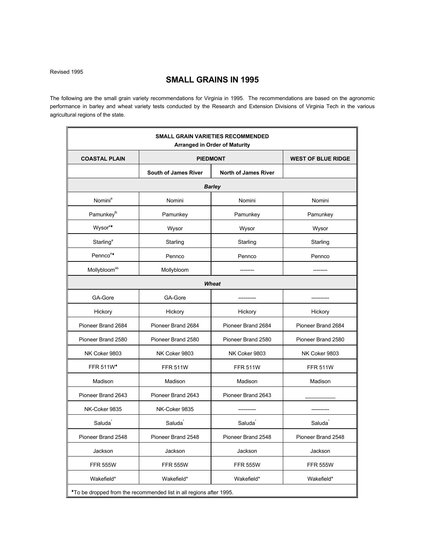Revised 1995

# **SMALL GRAINS IN 1995**

The following are the small grain variety recommendations for Virginia in 1995. The recommendations are based on the agronomic performance in barley and wheat variety tests conducted by the Research and Extension Divisions of Virginia Tech in the various agricultural regions of the state.

|                          |                                                                     | <b>SMALL GRAIN VARIETIES RECOMMENDED</b><br><b>Arranged in Order of Maturity</b> |                           |
|--------------------------|---------------------------------------------------------------------|----------------------------------------------------------------------------------|---------------------------|
| <b>COASTAL PLAIN</b>     |                                                                     | <b>PIEDMONT</b>                                                                  | <b>WEST OF BLUE RIDGE</b> |
|                          | <b>South of James River</b>                                         | <b>North of James River</b>                                                      |                           |
|                          |                                                                     | <b>Barley</b>                                                                    |                           |
| Nomini <sup>a</sup>      | Nomini                                                              | Nomini                                                                           | Nomini                    |
| Pamunkey <sup>lb</sup>   | Pamunkey                                                            | Pamunkey                                                                         | Pamunkey                  |
| Wysor <sup>a•</sup>      | Wysor                                                               | Wysor                                                                            | Wysor                     |
| Starling <sup>ª</sup>    | Starling                                                            | Starling                                                                         | Starling                  |
| Pennco <sup>a+</sup>     | Pennco                                                              | Pennco                                                                           | Pennco                    |
| Mollybloom <sup>sb</sup> | Mollybloom                                                          |                                                                                  |                           |
|                          |                                                                     | <b>Wheat</b>                                                                     |                           |
| GA-Gore                  | GA-Gore                                                             |                                                                                  |                           |
| Hickory                  | Hickory                                                             | Hickory                                                                          | Hickory                   |
| Pioneer Brand 2684       | Pioneer Brand 2684                                                  | Pioneer Brand 2684                                                               | Pioneer Brand 2684        |
| Pioneer Brand 2580       | Pioneer Brand 2580                                                  | Pioneer Brand 2580                                                               | Pioneer Brand 2580        |
| NK Coker 9803            | NK Coker 9803                                                       | NK Coker 9803                                                                    | NK Coker 9803             |
| <b>FFR 511W*</b>         | <b>FFR 511W</b>                                                     | <b>FFR 511W</b>                                                                  | <b>FFR 511W</b>           |
| Madison                  | Madison                                                             | Madison                                                                          | Madison                   |
| Pioneer Brand 2643       | Pioneer Brand 2643                                                  | Pioneer Brand 2643                                                               |                           |
| NK-Coker 9835            | NK-Coker 9835                                                       |                                                                                  |                           |
| Saluda                   | Saluda                                                              | Saluda <sup>®</sup>                                                              | Saluda                    |
| Pioneer Brand 2548       | Pioneer Brand 2548                                                  | Pioneer Brand 2548                                                               | Pioneer Brand 2548        |
| Jackson                  | Jackson                                                             | Jackson                                                                          | Jackson                   |
| <b>FFR 555W</b>          | <b>FFR 555W</b>                                                     | <b>FFR 555W</b>                                                                  | <b>FFR 555W</b>           |
| Wakefield*               | Wakefield*                                                          | Wakefield*                                                                       | Wakefield*                |
|                          | *To be dropped from the recommended list in all regions after 1995. |                                                                                  |                           |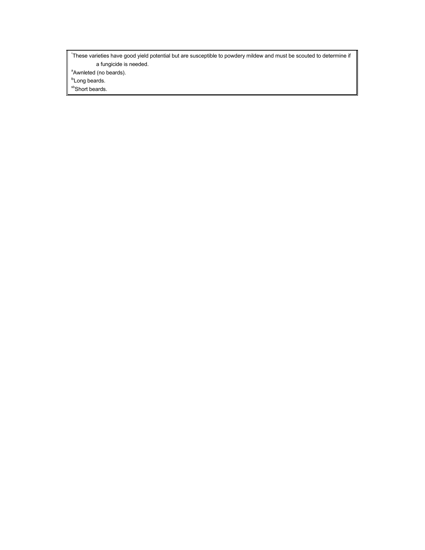\* These varieties have good yield potential but are susceptible to powdery mildew and must be scouted to determine if a fungicide is needed.

<sup>a</sup> Awnleted (no beards).

<sup>tb</sup>Long beards.

sb<sub>Short beards.</sub>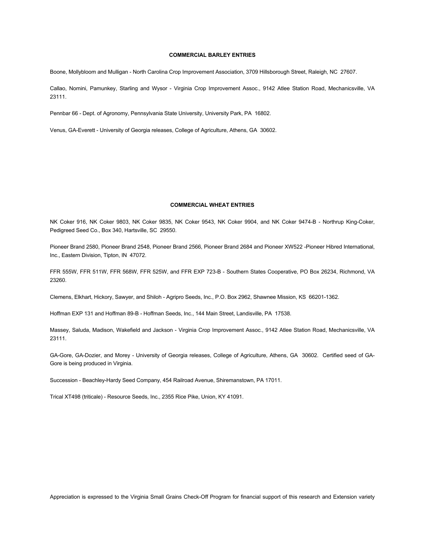# **COMMERCIAL BARLEY ENTRIES**

Boone, Mollybloom and Mulligan - North Carolina Crop Improvement Association, 3709 Hillsborough Street, Raleigh, NC 27607.

Callao, Nomini, Pamunkey, Starling and Wysor - Virginia Crop Improvement Assoc., 9142 Atlee Station Road, Mechanicsville, VA 23111.

Pennbar 66 - Dept. of Agronomy, Pennsylvania State University, University Park, PA 16802.

Venus, GA-Everett - University of Georgia releases, College of Agriculture, Athens, GA 30602.

# **COMMERCIAL WHEAT ENTRIES**

NK Coker 916, NK Coker 9803, NK Coker 9835, NK Coker 9543, NK Coker 9904, and NK Coker 9474-B - Northrup King-Coker, Pedigreed Seed Co., Box 340, Hartsville, SC 29550.

Pioneer Brand 2580, Pioneer Brand 2548, Pioneer Brand 2566, Pioneer Brand 2684 and Pioneer XW522 -Pioneer Hibred International, Inc., Eastern Division, Tipton, IN 47072.

FFR 555W, FFR 511W, FFR 568W, FFR 525W, and FFR EXP 723-B - Southern States Cooperative, PO Box 26234, Richmond, VA 23260.

Clemens, Elkhart, Hickory, Sawyer, and Shiloh - Agripro Seeds, Inc., P.O. Box 2962, Shawnee Mission, KS 66201-1362.

Hoffman EXP 131 and Hoffman 89-B - Hoffman Seeds, Inc., 144 Main Street, Landisville, PA 17538.

Massey, Saluda, Madison, Wakefield and Jackson - Virginia Crop Improvement Assoc., 9142 Atlee Station Road, Mechanicsville, VA 23111.

GA-Gore, GA-Dozier, and Morey - University of Georgia releases, College of Agriculture, Athens, GA 30602. Certified seed of GA-Gore is being produced in Virginia.

Succession - Beachley-Hardy Seed Company, 454 Railroad Avenue, Shiremanstown, PA 17011.

Trical XT498 (triticale) - Resource Seeds, Inc., 2355 Rice Pike, Union, KY 41091.

Appreciation is expressed to the Virginia Small Grains Check-Off Program for financial support of this research and Extension variety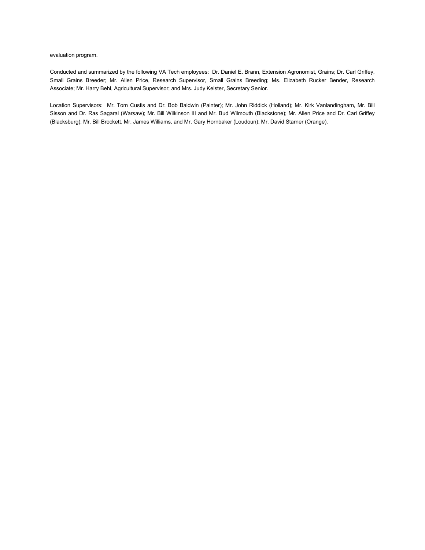evaluation program.

Conducted and summarized by the following VA Tech employees: Dr. Daniel E. Brann, Extension Agronomist, Grains; Dr. Carl Griffey, Small Grains Breeder; Mr. Allen Price, Research Supervisor, Small Grains Breeding; Ms. Elizabeth Rucker Bender, Research Associate; Mr. Harry Behl, Agricultural Supervisor; and Mrs. Judy Keister, Secretary Senior.

Location Supervisors: Mr. Tom Custis and Dr. Bob Baldwin (Painter); Mr. John Riddick (Holland); Mr. Kirk Vanlandingham, Mr. Bill Sisson and Dr. Ras Sagaral (Warsaw); Mr. Bill Wilkinson III and Mr. Bud Wilmouth (Blackstone); Mr. Allen Price and Dr. Carl Griffey (Blacksburg); Mr. Bill Brockett, Mr. James Williams, and Mr. Gary Hornbaker (Loudoun); Mr. David Starner (Orange).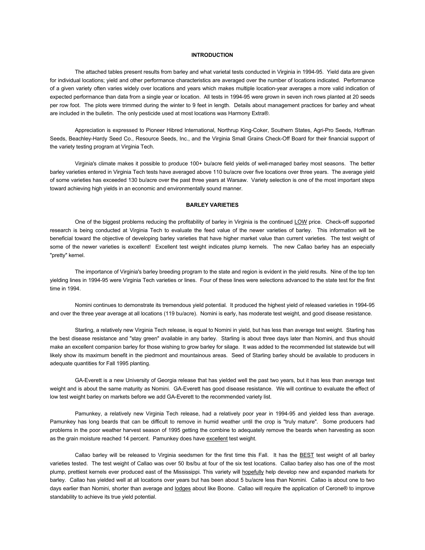### **INTRODUCTION**

The attached tables present results from barley and what varietal tests conducted in Virginia in 1994-95. Yield data are given for individual locations; yield and other performance characteristics are averaged over the number of locations indicated. Performance of a given variety often varies widely over locations and years which makes multiple location-year averages a more valid indication of expected performance than data from a single year or location. All tests in 1994-95 were grown in seven inch rows planted at 20 seeds per row foot. The plots were trimmed during the winter to 9 feet in length. Details about management practices for barley and wheat are included in the bulletin. The only pesticide used at most locations was Harmony Extra®.

Appreciation is expressed to Pioneer Hibred International, Northrup King-Coker, Southern States, Agri-Pro Seeds, Hoffman Seeds, Beachley-Hardy Seed Co., Resource Seeds, Inc., and the Virginia Small Grains Check-Off Board for their financial support of the variety testing program at Virginia Tech.

Virginia's climate makes it possible to produce 100+ bu/acre field yields of well-managed barley most seasons. The better barley varieties entered in Virginia Tech tests have averaged above 110 bu/acre over five locations over three years. The average yield of some varieties has exceeded 130 bu/acre over the past three years at Warsaw. Variety selection is one of the most important steps toward achieving high yields in an economic and environmentally sound manner.

# **BARLEY VARIETIES**

One of the biggest problems reducing the profitability of barley in Virginia is the continued LOW price. Check-off supported research is being conducted at Virginia Tech to evaluate the feed value of the newer varieties of barley. This information will be beneficial toward the objective of developing barley varieties that have higher market value than current varieties. The test weight of some of the newer varieties is excellent! Excellent test weight indicates plump kernels. The new Callao barley has an especially "pretty" kernel.

The importance of Virginia's barley breeding program to the state and region is evident in the yield results. Nine of the top ten yielding lines in 1994-95 were Virginia Tech varieties or lines. Four of these lines were selections advanced to the state test for the first time in 1994.

Nomini continues to demonstrate its tremendous yield potential. It produced the highest yield of released varieties in 1994-95 and over the three year average at all locations (119 bu/acre). Nomini is early, has moderate test weight, and good disease resistance.

Starling, a relatively new Virginia Tech release, is equal to Nomini in yield, but has less than average test weight. Starling has the best disease resistance and "stay green" available in any barley. Starling is about three days later than Nomini, and thus should make an excellent companion barley for those wishing to grow barley for silage. It was added to the recommended list statewide but will likely show its maximum benefit in the piedmont and mountainous areas. Seed of Starling barley should be available to producers in adequate quantities for Fall 1995 planting.

GA-Everett is a new University of Georgia release that has yielded well the past two years, but it has less than average test weight and is about the same maturity as Nomini. GA-Everett has good disease resistance. We will continue to evaluate the effect of low test weight barley on markets before we add GA-Everett to the recommended variety list.

Pamunkey, a relatively new Virginia Tech release, had a relatively poor year in 1994-95 and yielded less than average. Pamunkey has long beards that can be difficult to remove in humid weather until the crop is "truly mature". Some producers had problems in the poor weather harvest season of 1995 getting the combine to adequately remove the beards when harvesting as soon as the grain moisture reached 14 percent. Pamunkey does have excellent test weight.

Callao barley will be released to Virginia seedsmen for the first time this Fall. It has the **BEST** test weight of all barley varieties tested. The test weight of Callao was over 50 lbs/bu at four of the six test locations. Callao barley also has one of the most plump, prettiest kernels ever produced east of the Mississippi. This variety will hopefully help develop new and expanded markets for barley. Callao has yielded well at all locations over years but has been about 5 bu/acre less than Nomini. Callao is about one to two days earlier than Nomini, shorter than average and lodges about like Boone. Callao will require the application of Cerone® to improve standability to achieve its true yield potential.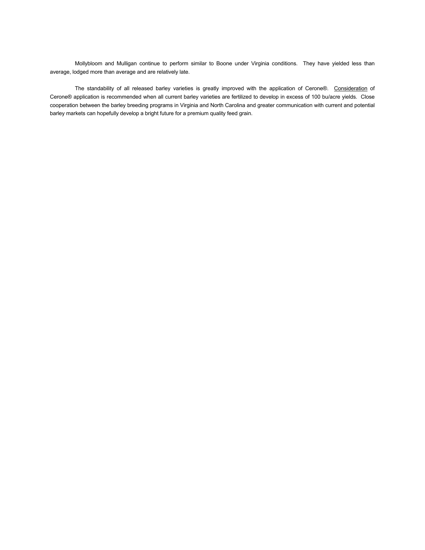Mollybloom and Mulligan continue to perform similar to Boone under Virginia conditions. They have yielded less than average, lodged more than average and are relatively late.

The standability of all released barley varieties is greatly improved with the application of Cerone®. Consideration of Cerone® application is recommended when all current barley varieties are fertilized to develop in excess of 100 bu/acre yields. Close cooperation between the barley breeding programs in Virginia and North Carolina and greater communication with current and potential barley markets can hopefully develop a bright future for a premium quality feed grain.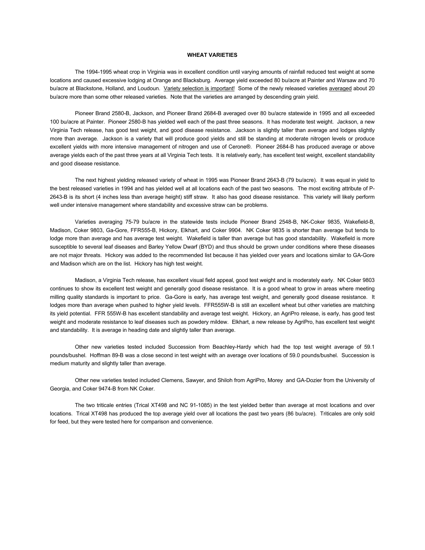# **WHEAT VARIETIES**

The 1994-1995 wheat crop in Virginia was in excellent condition until varying amounts of rainfall reduced test weight at some locations and caused excessive lodging at Orange and Blacksburg. Average yield exceeded 80 bu/acre at Painter and Warsaw and 70 bu/acre at Blackstone, Holland, and Loudoun. Variety selection is important! Some of the newly released varieties averaged about 20 bu/acre more than some other released varieties. Note that the varieties are arranged by descending grain yield.

Pioneer Brand 2580-B, Jackson, and Pioneer Brand 2684-B averaged over 80 bu/acre statewide in 1995 and all exceeded 100 bu/acre at Painter. Pioneer 2580-B has yielded well each of the past three seasons. It has moderate test weight. Jackson, a new Virginia Tech release, has good test weight, and good disease resistance. Jackson is slightly taller than average and lodges slightly more than average. Jackson is a variety that will produce good yields and still be standing at moderate nitrogen levels or produce excellent yields with more intensive management of nitrogen and use of Cerone®. Pioneer 2684-B has produced average or above average yields each of the past three years at all Virginia Tech tests. It is relatively early, has excellent test weight, excellent standability and good disease resistance.

The next highest yielding released variety of wheat in 1995 was Pioneer Brand 2643-B (79 bu/acre). It was equal in yield to the best released varieties in 1994 and has yielded well at all locations each of the past two seasons. The most exciting attribute of P-2643-B is its short (4 inches less than average height) stiff straw. It also has good disease resistance. This variety will likely perform well under intensive management where standability and excessive straw can be problems.

Varieties averaging 75-79 bu/acre in the statewide tests include Pioneer Brand 2548-B, NK-Coker 9835, Wakefield-B, Madison, Coker 9803, Ga-Gore, FFR555-B, Hickory, Elkhart, and Coker 9904. NK Coker 9835 is shorter than average but tends to lodge more than average and has average test weight. Wakefield is taller than average but has good standability. Wakefield is more susceptible to several leaf diseases and Barley Yellow Dwarf (BYD) and thus should be grown under conditions where these diseases are not major threats. Hickory was added to the recommended list because it has yielded over years and locations similar to GA-Gore and Madison which are on the list. Hickory has high test weight.

Madison, a Virginia Tech release, has excellent visual field appeal, good test weight and is moderately early. NK Coker 9803 continues to show its excellent test weight and generally good disease resistance. It is a good wheat to grow in areas where meeting milling quality standards is important to price. Ga-Gore is early, has average test weight, and generally good disease resistance. It lodges more than average when pushed to higher yield levels. FFR555W-B is still an excellent wheat but other varieties are matching its yield potential. FFR 555W-B has excellent standability and average test weight. Hickory, an AgriPro release, is early, has good test weight and moderate resistance to leaf diseases such as powdery mildew. Elkhart, a new release by AgriPro, has excellent test weight and standability. It is average in heading date and slightly taller than average.

Other new varieties tested included Succession from Beachley-Hardy which had the top test weight average of 59.1 pounds/bushel. Hoffman 89-B was a close second in test weight with an average over locations of 59.0 pounds/bushel. Succession is medium maturity and slightly taller than average.

Other new varieties tested included Clemens, Sawyer, and Shiloh from AgriPro, Morey and GA-Dozier from the University of Georgia, and Coker 9474-B from NK Coker.

The two triticale entries (Trical XT498 and NC 91-1085) in the test yielded better than average at most locations and over locations. Trical XT498 has produced the top average yield over all locations the past two years (86 bu/acre). Triticales are only sold for feed, but they were tested here for comparison and convenience.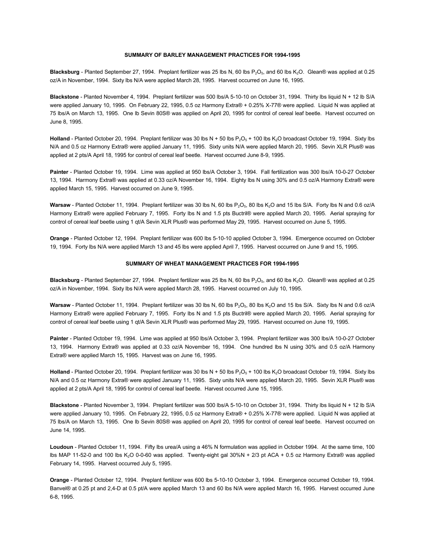#### **SUMMARY OF BARLEY MANAGEMENT PRACTICES FOR 1994-1995**

**Blacksburg** - Planted September 27, 1994. Preplant fertilizer was 25 lbs N, 60 lbs P<sub>2</sub>O<sub>5</sub>, and 60 lbs K<sub>2</sub>O. Glean® was applied at 0.25 oz/A in November, 1994. Sixty lbs N/A were applied March 28, 1995. Harvest occurred on June 16, 1995.

**Blackstone** - Planted November 4, 1994. Preplant fertilizer was 500 lbs/A 5-10-10 on October 31, 1994. Thirty lbs liquid N + 12 lb S/A were applied January 10, 1995. On February 22, 1995, 0.5 oz Harmony Extra® + 0.25% X-77® were applied. Liquid N was applied at 75 lbs/A on March 13, 1995. One lb Sevin 80S® was applied on April 20, 1995 for control of cereal leaf beetle. Harvest occurred on June 8, 1995.

**Holland** - Planted October 20, 1994. Preplant fertilizer was 30 lbs  $N + 50$  lbs  $P_2O_5 + 100$  lbs  $K_2O$  broadcast October 19, 1994. Sixty lbs N/A and 0.5 oz Harmony Extra® were applied January 11, 1995. Sixty units N/A were applied March 20, 1995. Sevin XLR Plus® was applied at 2 pts/A April 18, 1995 for control of cereal leaf beetle. Harvest occurred June 8-9, 1995.

**Painter** - Planted October 19, 1994. Lime was applied at 950 lbs/A October 3, 1994. Fall fertilization was 300 lbs/A 10-0-27 October 13, 1994. Harmony Extra® was applied at 0.33 oz/A November 16, 1994. Eighty lbs N using 30% and 0.5 oz/A Harmony Extra® were applied March 15, 1995. Harvest occurred on June 9, 1995.

Warsaw - Planted October 11, 1994. Preplant fertilizer was 30 lbs N, 60 lbs P<sub>2</sub>O<sub>5</sub>, 80 lbs K<sub>2</sub>O and 15 lbs S/A. Forty lbs N and 0.6 oz/A Harmony Extra® were applied February 7, 1995. Forty lbs N and 1.5 pts Buctril® were applied March 20, 1995. Aerial spraying for control of cereal leaf beetle using 1 qt/A Sevin XLR Plus® was performed May 29, 1995. Harvest occurred on June 5, 1995.

**Orange** - Planted October 12, 1994. Preplant fertilizer was 600 lbs 5-10-10 applied October 3, 1994. Emergence occurred on October 19, 1994. Forty lbs N/A were applied March 13 and 45 lbs were applied April 7, 1995. Harvest occurred on June 9 and 15, 1995.

#### **SUMMARY OF WHEAT MANAGEMENT PRACTICES FOR 1994-1995**

**Blacksburg** - Planted September 27, 1994. Preplant fertilizer was 25 lbs N, 60 lbs P<sub>2</sub>O<sub>5</sub>, and 60 lbs K<sub>2</sub>O. Glean® was applied at 0.25 oz/A in November, 1994. Sixty lbs N/A were applied March 28, 1995. Harvest occurred on July 10, 1995.

Warsaw - Planted October 11, 1994. Preplant fertilizer was 30 lbs N, 60 lbs P<sub>2</sub>O<sub>5</sub>, 80 lbs K<sub>2</sub>O and 15 lbs S/A. Sixty lbs N and 0.6 oz/A Harmony Extra® were applied February 7, 1995. Forty lbs N and 1.5 pts Buctril® were applied March 20, 1995. Aerial spraying for control of cereal leaf beetle using 1 qt/A Sevin XLR Plus® was performed May 29, 1995. Harvest occurred on June 19, 1995.

**Painter** - Planted October 19, 1994. Lime was applied at 950 lbs/A October 3, 1994. Preplant fertilizer was 300 lbs/A 10-0-27 October 13, 1994. Harmony Extra® was applied at 0.33 oz/A November 16, 1994. One hundred lbs N using 30% and 0.5 oz/A Harmony Extra® were applied March 15, 1995. Harvest was on June 16, 1995.

**Holland** - Planted October 20, 1994. Preplant fertilizer was 30 lbs  $N + 50$  lbs  $P_2O_5 + 100$  lbs  $K_2O$  broadcast October 19, 1994. Sixty lbs N/A and 0.5 oz Harmony Extra® were applied January 11, 1995. Sixty units N/A were applied March 20, 1995. Sevin XLR Plus® was applied at 2 pts/A April 18, 1995 for control of cereal leaf beetle. Harvest occurred June 15, 1995.

**Blackstone** - Planted November 3, 1994. Preplant fertilizer was 500 lbs/A 5-10-10 on October 31, 1994. Thirty lbs liquid N + 12 lb S/A were applied January 10, 1995. On February 22, 1995, 0.5 oz Harmony Extra® + 0.25% X-77® were applied. Liquid N was applied at 75 lbs/A on March 13, 1995. One lb Sevin 80S® was applied on April 20, 1995 for control of cereal leaf beetle. Harvest occurred on June 14, 1995.

**Loudoun** - Planted October 11, 1994. Fifty lbs urea/A using a 46% N formulation was applied in October 1994. At the same time, 100 lbs MAP 11-52-0 and 100 lbs K2O 0-0-60 was applied. Twenty-eight gal 30%N + 2/3 pt ACA + 0.5 oz Harmony Extra® was applied February 14, 1995. Harvest occurred July 5, 1995.

**Orange** - Planted October 12, 1994. Preplant fertilizer was 600 lbs 5-10-10 October 3, 1994. Emergence occurred October 19, 1994. Banvel® at 0.25 pt and 2,4-D at 0.5 pt/A were applied March 13 and 60 lbs N/A were applied March 16, 1995. Harvest occurred June 6-8, 1995.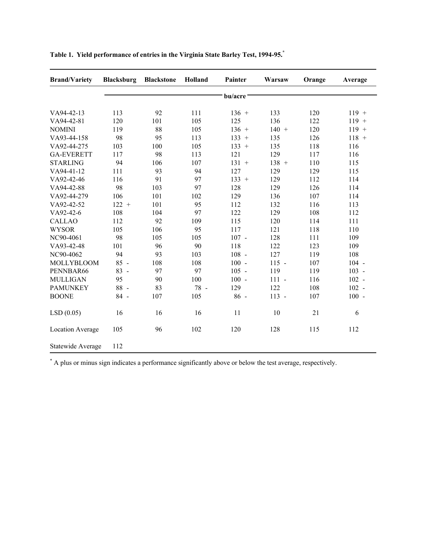| <b>Brand/Variety</b>    | <b>Blacksburg</b> | <b>Blackstone</b> | Holland | Painter              | Warsaw  | Orange | Average |
|-------------------------|-------------------|-------------------|---------|----------------------|---------|--------|---------|
|                         |                   |                   |         | bu/acre <sup>-</sup> |         |        |         |
| VA94-42-13              | 113               | 92                | 111     | $136 +$              | 133     | 120    | $119 +$ |
| VA94-42-81              | 120               | 101               | 105     | 125                  | 136     | 122    | $119 +$ |
| <b>NOMINI</b>           | 119               | 88                | 105     | $136 +$              | $140 +$ | 120    | $119 +$ |
| VA93-44-158             | 98                | 95                | 113     | $133 +$              | 135     | 126    | $118 +$ |
| VA92-44-275             | 103               | 100               | 105     | $133 +$              | 135     | 118    | 116     |
| <b>GA-EVERETT</b>       | 117               | 98                | 113     | 121                  | 129     | 117    | 116     |
| <b>STARLING</b>         | 94                | 106               | 107     | $131 +$              | $138 +$ | 110    | 115     |
| VA94-41-12              | 111               | 93                | 94      | 127                  | 129     | 129    | 115     |
| VA92-42-46              | 116               | 91                | 97      | $133 +$              | 129     | 112    | 114     |
| VA94-42-88              | 98                | 103               | 97      | 128                  | 129     | 126    | 114     |
| VA92-44-279             | 106               | 101               | 102     | 129                  | 136     | 107    | 114     |
| VA92-42-52              | $122 +$           | 101               | 95      | 112                  | 132     | 116    | 113     |
| VA92-42-6               | 108               | 104               | 97      | 122                  | 129     | 108    | 112     |
| <b>CALLAO</b>           | 112               | 92                | 109     | 115                  | 120     | 114    | 111     |
| <b>WYSOR</b>            | 105               | 106               | 95      | 117                  | 121     | 118    | 110     |
| NC90-4061               | 98                | 105               | 105     | $107 -$              | 128     | 111    | 109     |
| VA93-42-48              | 101               | 96                | 90      | 118                  | 122     | 123    | 109     |
| NC90-4062               | 94                | 93                | 103     | $108 -$              | 127     | 119    | 108     |
| MOLLYBLOOM              | $85 -$            | 108               | 108     | $100 -$              | $115 -$ | 107    | $104 -$ |
| PENNBAR66               | $83 -$            | 97                | 97      | $105 -$              | 119     | 119    | $103 -$ |
| <b>MULLIGAN</b>         | 95                | 90                | 100     | $100 -$              | $111 -$ | 116    | $102 -$ |
| <b>PAMUNKEY</b>         | $88 -$            | 83                | 78 -    | 129                  | 122     | 108    | $102 -$ |
| <b>BOONE</b>            | 84 -              | 107               | 105     | $86 -$               | $113 -$ | 107    | $100 -$ |
| LSD(0.05)               | 16                | 16                | 16      | 11                   | 10      | 21     | 6       |
| <b>Location Average</b> | 105               | 96                | 102     | 120                  | 128     | 115    | 112     |
| Statewide Average       | 112               |                   |         |                      |         |        |         |

**Table 1. Yield performance of entries in the Virginia State Barley Test, 1994-95. \***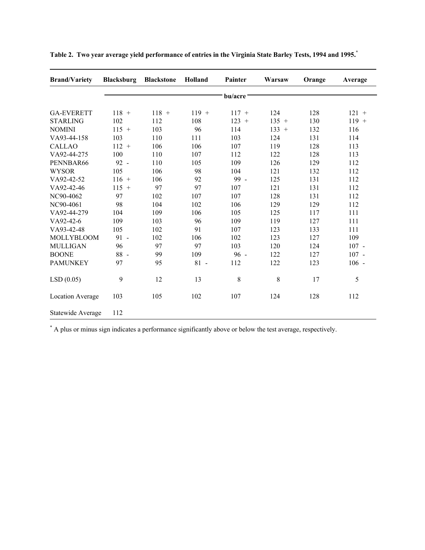| <b>Brand/Variety</b>    | <b>Blacksburg</b> | <b>Blackstone</b> | Holland | Painter | Warsaw      | Orange | Average |
|-------------------------|-------------------|-------------------|---------|---------|-------------|--------|---------|
|                         |                   |                   |         | bu/acre |             |        |         |
| <b>GA-EVERETT</b>       | $118 +$           | $118 +$           | $119 +$ | $117 +$ | 124         | 128    | $121 +$ |
| <b>STARLING</b>         | 102               | 112               | 108     | $123 +$ | $135 +$     | 130    | $119 +$ |
| <b>NOMINI</b>           | $115 +$           | 103               | 96      | 114     | $133 +$     | 132    | 116     |
| VA93-44-158             | 103               | 110               | 111     | 103     | 124         | 131    | 114     |
| <b>CALLAO</b>           | $112 +$           | 106               | 106     | 107     | 119         | 128    | 113     |
| VA92-44-275             | 100               | 110               | 107     | 112     | 122         | 128    | 113     |
| PENNBAR66               | $92 -$            | 110               | 105     | 109     | 126         | 129    | 112     |
| <b>WYSOR</b>            | 105               | 106               | 98      | 104     | 121         | 132    | 112     |
| VA92-42-52              | $116 +$           | 106               | 92      | 99 -    | 125         | 131    | 112     |
| VA92-42-46              | $115 +$           | 97                | 97      | 107     | 121         | 131    | 112     |
| NC90-4062               | 97                | 102               | 107     | 107     | 128         | 131    | 112     |
| NC90-4061               | 98                | 104               | 102     | 106     | 129         | 129    | 112     |
| VA92-44-279             | 104               | 109               | 106     | 105     | 125         | 117    | 111     |
| VA92-42-6               | 109               | 103               | 96      | 109     | 119         | 127    | 111     |
| VA93-42-48              | 105               | 102               | 91      | 107     | 123         | 133    | 111     |
| <b>MOLLYBLOOM</b>       | $91 -$            | 102               | 106     | 102     | 123         | 127    | 109     |
| <b>MULLIGAN</b>         | 96                | 97                | 97      | 103     | 120         | 124    | $107 -$ |
| <b>BOONE</b>            | $88 -$            | 99                | 109     | $96 -$  | 122         | 127    | $107 -$ |
| <b>PAMUNKEY</b>         | 97                | 95                | $81 -$  | 112     | 122         | 123    | $106 -$ |
| LSD(0.05)               | 9                 | 12                | 13      | 8       | $\,$ 8 $\,$ | 17     | 5       |
| <b>Location Average</b> | 103               | 105               | 102     | 107     | 124         | 128    | 112     |
| Statewide Average       | 112               |                   |         |         |             |        |         |

"Table 2. Two year average yield performance of entries in the Virginia State Barley Tests, 1994 and 1995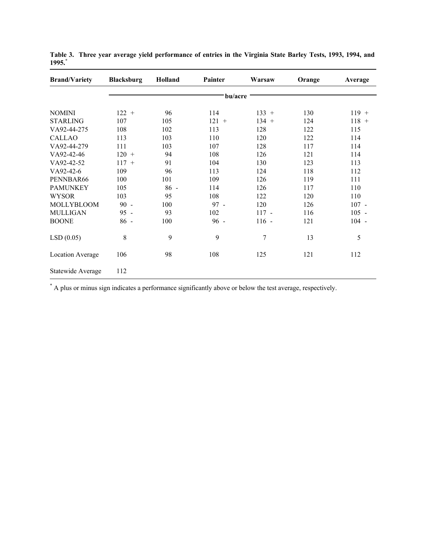| <b>Brand/Variety</b>    | <b>Blacksburg</b> | <b>Holland</b> | Painter | Warsaw  | Orange | Average |
|-------------------------|-------------------|----------------|---------|---------|--------|---------|
|                         |                   |                | bu/acre |         |        |         |
| <b>NOMINI</b>           | $122 +$           | 96             | 114     | $133 +$ | 130    | $119 +$ |
| <b>STARLING</b>         | 107               | 105            | $121 +$ | $134 +$ | 124    | $118 +$ |
| VA92-44-275             | 108               | 102            | 113     | 128     | 122    | 115     |
| <b>CALLAO</b>           | 113               | 103            | 110     | 120     | 122    | 114     |
| VA92-44-279             | 111               | 103            | 107     | 128     | 117    | 114     |
| VA92-42-46              | $120 +$           | 94             | 108     | 126     | 121    | 114     |
| VA92-42-52              | $117 +$           | 91             | 104     | 130     | 123    | 113     |
| VA92-42-6               | 109               | 96             | 113     | 124     | 118    | 112     |
| PENNBAR66               | 100               | 101            | 109     | 126     | 119    | 111     |
| <b>PAMUNKEY</b>         | 105               | $86 -$         | 114     | 126     | 117    | 110     |
| <b>WYSOR</b>            | 103               | 95             | 108     | 122     | 120    | 110     |
| <b>MOLLYBLOOM</b>       | $90 -$            | 100            | $97 -$  | 120     | 126    | $107 -$ |
| <b>MULLIGAN</b>         | $95 -$            | 93             | 102     | $117 -$ | 116    | $105 -$ |
| <b>BOONE</b>            | $86 -$            | 100            | $96 -$  | $116 -$ | 121    | $104 -$ |
| LSD(0.05)               | 8                 | 9              | 9       | 7       | 13     | 5       |
| <b>Location Average</b> | 106               | 98             | 108     | 125     | 121    | 112     |
| Statewide Average       | 112               |                |         |         |        |         |

Table 3. Three year average yield performance of entries in the Virginia State Barley Tests, 1993, 1994, and **1995. \***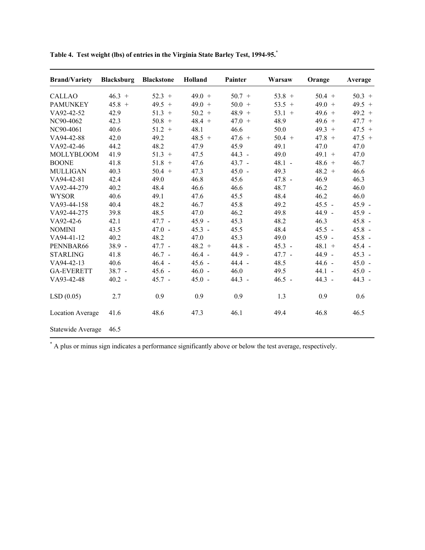| <b>Brand/Variety</b> | <b>Blacksburg</b> | <b>Blackstone</b> | Holland  | Painter  | Warsaw   | Orange   | Average  |
|----------------------|-------------------|-------------------|----------|----------|----------|----------|----------|
| <b>CALLAO</b>        | $46.3 +$          | $52.3 +$          | $49.0 +$ | $50.7 +$ | $53.8 +$ | $50.4 +$ | $50.3 +$ |
| <b>PAMUNKEY</b>      | $45.8 +$          | $49.5 +$          | $49.0 +$ | $50.0 +$ | $53.5 +$ | $49.0 +$ | $49.5 +$ |
| VA92-42-52           | 42.9              | $51.3 +$          | $50.2 +$ | $48.9 +$ | $53.1 +$ | $49.6 +$ | $49.2 +$ |
| NC90-4062            | 42.3              | $50.8 +$          | $48.4 +$ | $47.0 +$ | 48.9     | $49.6 +$ | $47.7 +$ |
| NC90-4061            | 40.6              | $51.2 +$          | 48.1     | 46.6     | 50.0     | $49.3 +$ | $47.5 +$ |
| VA94-42-88           | 42.0              | 49.2              | $48.5 +$ | $47.6 +$ | $50.4 +$ | $47.8 +$ | $47.5 +$ |
| VA92-42-46           | 44.2              | 48.2              | 47.9     | 45.9     | 49.1     | 47.0     | 47.0     |
| MOLLYBLOOM           | 41.9              | $51.3 +$          | 47.5     | $44.3 -$ | 49.0     | $49.1 +$ | 47.0     |
| <b>BOONE</b>         | 41.8              | $51.8 +$          | 47.6     | $43.7 -$ | $48.1 -$ | $48.6 +$ | 46.7     |
| <b>MULLIGAN</b>      | 40.3              | $50.4 +$          | 47.3     | $45.0 -$ | 49.3     | $48.2 +$ | 46.6     |
| VA94-42-81           | 42.4              | 49.0              | 46.8     | 45.6     | $47.8 -$ | 46.9     | 46.3     |
| VA92-44-279          | 40.2              | 48.4              | 46.6     | 46.6     | 48.7     | 46.2     | 46.0     |
| <b>WYSOR</b>         | 40.6              | 49.1              | 47.6     | 45.5     | 48.4     | 46.2     | 46.0     |
| VA93-44-158          | 40.4              | 48.2              | 46.7     | 45.8     | 49.2     | $45.5 -$ | $45.9 -$ |
| VA92-44-275          | 39.8              | 48.5              | 47.0     | 46.2     | 49.8     | $44.9 -$ | $45.9 -$ |
| VA92-42-6            | 42.1              | $47.7 -$          | $45.9 -$ | 45.3     | 48.2     | 46.3     | $45.8 -$ |
| <b>NOMINI</b>        | 43.5              | $47.0 -$          | $45.3 -$ | 45.5     | 48.4     | $45.5 -$ | $45.8 -$ |
| VA94-41-12           | 40.2              | 48.2              | 47.0     | 45.3     | 49.0     | $45.9 -$ | $45.8 -$ |
| PENNBAR66            | $38.9 -$          | $47.7 -$          | $48.2 +$ | 44.8 -   | $45.3 -$ | $48.1 +$ | $45.4 -$ |
| <b>STARLING</b>      | 41.8              | $46.7 -$          | $46.4 -$ | 44.9 -   | $47.7 -$ | 44.9 -   | $45.3 -$ |
| VA94-42-13           | 40.6              | $46.4 -$          | $45.6 -$ | $44.4 -$ | 48.5     | $44.6 -$ | $45.0 -$ |
| <b>GA-EVERETT</b>    | $38.7 -$          | $45.6 -$          | $46.0 -$ | 46.0     | 49.5     | $44.1 -$ | $45.0 -$ |
| VA93-42-48           | $40.2 -$          | $45.7 -$          | $45.0 -$ | $44.3 -$ | $46.5 -$ | $44.3 -$ | $44.3 -$ |
| LSD(0.05)            | 2.7               | 0.9               | 0.9      | 0.9      | 1.3      | 0.9      | 0.6      |
| Location Average     | 41.6              | 48.6              | 47.3     | 46.1     | 49.4     | 46.8     | 46.5     |
| Statewide Average    | 46.5              |                   |          |          |          |          |          |

Table 4. Test weight (lbs) of entries in the Virginia State Barley Test, 1994-95.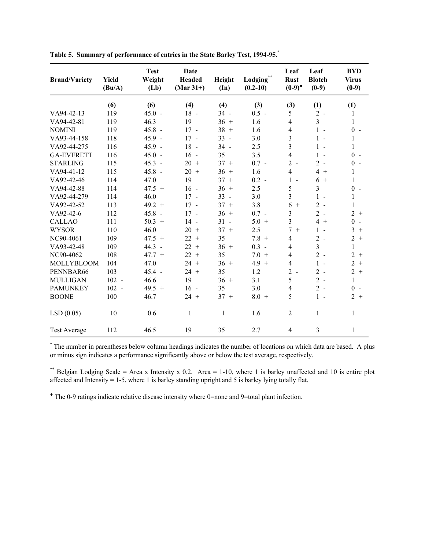| <b>Brand/Variety</b> | <b>Yield</b><br>(Bu/A) | <b>Test</b><br>Weight<br>(Lb) | Date<br><b>Headed</b><br>$(Mar 31+)$ | Height<br>$(\mathbf{In})$ | Lodging**<br>$(0.2 - 10)$ | Leaf<br><b>Rust</b><br>$(0-9)^*$ | Leaf<br><b>Blotch</b><br>$(0-9)$ | <b>BYD</b><br><b>Virus</b><br>$(0-9)$ |
|----------------------|------------------------|-------------------------------|--------------------------------------|---------------------------|---------------------------|----------------------------------|----------------------------------|---------------------------------------|
|                      | (6)                    | (6)                           | (4)                                  | (4)                       | (3)                       | (3)                              | (1)                              | (1)                                   |
| VA94-42-13           | 119                    | $45.0 -$                      | 18 -                                 | $34 -$                    | $0.5 -$                   | 5                                | $2 -$                            | 1                                     |
| VA94-42-81           | 119                    | 46.3                          | 19                                   | $36 +$                    | 1.6                       | $\overline{4}$                   | $\overline{3}$                   | 1                                     |
| <b>NOMINI</b>        | 119                    | $45.8 -$                      | $17 -$                               | $38 +$                    | 1.6                       | $\overline{4}$                   | $1 -$                            | $0 -$                                 |
| VA93-44-158          | 118                    | $45.9 -$                      | $17 -$                               | $33 -$                    | 3.0                       | $\overline{\mathbf{3}}$          | $1 -$                            | 1                                     |
| VA92-44-275          | 116                    | $45.9 -$                      | 18 -                                 | $34 -$                    | 2.5                       | $\overline{\mathbf{3}}$          | $1 -$                            | 1                                     |
| <b>GA-EVERETT</b>    | 116                    | $45.0 -$                      | $16 -$                               | 35                        | 3.5                       | $\overline{4}$                   | $1 -$                            | $0 -$                                 |
| <b>STARLING</b>      | 115                    | $45.3 -$                      | $20 +$                               | $37 +$                    | $0.7 -$                   | $2 -$                            | $2 -$                            | $0 -$                                 |
| VA94-41-12           | 115                    | $45.8 -$                      | $20 +$                               | $36 +$                    | 1.6                       | $\overline{4}$                   | $4+$                             | 1                                     |
| VA92-42-46           | 114                    | 47.0                          | 19                                   | 37<br>$+$                 | $0.2 -$                   | $1 -$                            | $6+$                             | 1                                     |
| VA94-42-88           | 114                    | $47.5 +$                      | $16 -$                               | $36 +$                    | 2.5                       | 5                                | $\overline{3}$                   | $0 -$                                 |
| VA92-44-279          | 114                    | 46.0                          | $17 -$                               | $33 -$                    | 3.0                       | $\overline{\mathbf{3}}$          | $1 -$                            | 1                                     |
| VA92-42-52           | 113                    | $49.2 +$                      | $17 -$                               | $37 +$                    | 3.8                       | 6<br>$+$                         | $2 -$                            | 1                                     |
| VA92-42-6            | 112                    | $45.8 -$                      | $17 -$                               | $36 +$                    | $0.7 -$                   | $\overline{\mathbf{3}}$          | $2 -$                            | $2 +$                                 |
| <b>CALLAO</b>        | 111                    | $50.3 +$                      | $14 -$                               | $31 -$                    | $5.0 +$                   | 3                                | $4+$                             | $\theta$<br>$\sim$                    |
| <b>WYSOR</b>         | 110                    | 46.0                          | $20 +$                               | $37 +$                    | 2.5                       | $\overline{7}$<br>$+$            | $1 -$                            | 3<br>$+$                              |
| NC90-4061            | 109                    | $47.5 +$                      | $22 +$                               | 35                        | $7.8 +$                   | $\overline{\mathcal{L}}$         | $2 -$                            | $\overline{2}$<br>$+$                 |
| VA93-42-48           | 109                    | $44.3 -$                      | $22 +$                               | $36 +$                    | $0.3 -$                   | $\overline{4}$                   | 3                                | 1                                     |
| NC90-4062            | 108                    | $47.7 +$                      | 22<br>$+$                            | 35                        | $7.0 +$                   | $\overline{4}$                   | $2 -$                            | 2<br>$+$                              |
| <b>MOLLYBLOOM</b>    | 104                    | 47.0                          | $24 +$                               | $36 +$                    | $4.9 +$                   | $\overline{\mathcal{L}}$         | $1 -$                            | $\overline{2}$<br>$+$                 |
| PENNBAR66            | 103                    | $45.4 -$                      | $24 +$                               | 35                        | 1.2                       | $2 -$                            | $2 -$                            | $\overline{2}$<br>$+$                 |
| <b>MULLIGAN</b>      | $102 -$                | 46.6                          | 19                                   | $36 +$                    | 3.1                       | 5                                | $2 -$                            | 1                                     |
| <b>PAMUNKEY</b>      | $102 -$                | $49.5 +$                      | $16 -$                               | 35                        | 3.0                       | 4                                | $2 -$                            | $\Omega$<br>$\sim$                    |
| <b>BOONE</b>         | 100                    | 46.7                          | $24 +$                               | $37 +$                    | $8.0 +$                   | 5                                | $1 -$                            | $2 +$                                 |
| LSD(0.05)            | 10                     | 0.6                           | 1                                    | 1                         | 1.6                       | 2                                | 1                                | 1                                     |
| <b>Test Average</b>  | 112                    | 46.5                          | 19                                   | 35                        | 2.7                       | $\overline{4}$                   | $\overline{3}$                   | 1                                     |

**Table 5. Summary of performance of entries in the State Barley Test, 1994-95. \***

\* The number in parentheses below column headings indicates the number of locations on which data are based. A plus or minus sign indicates a performance significantly above or below the test average, respectively.

\*\* Belgian Lodging Scale = Area x Intensity x 0.2. Area = 1-10, where 1 is barley unaffected and 10 is entire plot affected and Intensity = 1-5, where 1 is barley standing upright and 5 is barley lying totally flat.

♦ The 0-9 ratings indicate relative disease intensity where 0=none and 9=total plant infection.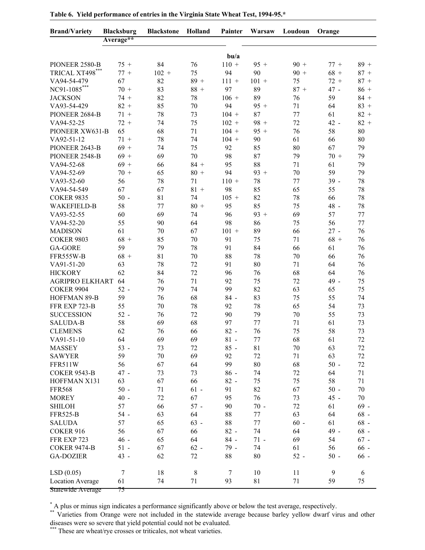| <b>Brand/Variety</b>    | <b>Blacksburg</b> | <b>Blackstone</b> | Holland | Painter          | Warsaw  | Loudoun | Orange       |        |
|-------------------------|-------------------|-------------------|---------|------------------|---------|---------|--------------|--------|
|                         | Average**         |                   |         |                  |         |         |              |        |
|                         |                   |                   |         | b <sub>u/a</sub> |         |         |              |        |
| PIONEER 2580-B          | $75 +$            | 84                | 76      | $110 +$          | $95 +$  | $90 +$  | $77 +$       | $89 +$ |
| TRICAL XT498***         | $77 +$            | $102 +$           | 75      | 94               | 90      | $90 +$  | $68 +$       | $87 +$ |
| VA94-54-479             | 67                | 82                | $89 +$  | $111 +$          | $101 +$ | 75      | $72 +$       | $87 +$ |
| NC91-1085***            | $70 +$            | 83                | $88 +$  | 97               | 89      | $87 +$  | $47 -$       | $86 +$ |
| <b>JACKSON</b>          | $74 +$            | 82                | 78      | $106 +$          | 89      | 76      | 59           | $84 +$ |
| VA93-54-429             | $82 +$            | 85                | 70      | 94               | $95 +$  | 71      | 64           | $83 +$ |
| PIONEER 2684-B          | $71 +$            | 78                | 73      | $104 +$          | 87      | 77      | 61           | $82 +$ |
| VA94-52-25              | $72 +$            | 74                | 75      | $102 +$          | $98 +$  | 72      | 42 -         | $82 +$ |
| PIONEER XW631-B         | 65                | 68                | 71      | $104 +$          | $95 +$  | 76      | 58           | 80     |
| VA92-51-12              | $71 +$            | 78                | 74      | $104 +$          | 90      | 61      | 66           | 80     |
| PIONEER 2643-B          | $69 +$            | 74                | 75      | 92               | 85      | 80      | 67           | 79     |
| PIONEER 2548-B          | $69 +$            | 69                | 70      | 98               | 87      | 79      | $70 +$       | 79     |
| VA94-52-68              | $69 +$            | 66                | $84 +$  | 95               | 88      | 71      | 61           | 79     |
| VA94-52-69              | $70 +$            | 65                | $80 +$  | 94               | $93 +$  | 70      | 59           | 79     |
| VA93-52-60              | 56                | 78                | 71      | $110 +$          | 78      | 77      | $39 -$       | 78     |
| VA94-54-549             | 67                | 67                | $81 +$  | 98               | 85      | 65      | 55           | 78     |
| <b>COKER 9835</b>       | $50 -$            | 81                | 74      | $105 +$          | 82      | 78      | 66           | 78     |
| <b>WAKEFIELD-B</b>      | 58                | 77                | $80 +$  | 95               | 85      | 75      | 48 -         | 78     |
| VA93-52-55              | 60                | 69                | 74      | 96               | $93 +$  | 69      | 57           | 77     |
| VA94-52-20              | 55                | 90                | 64      | 98               | 86      | 75      | 56           | 77     |
| <b>MADISON</b>          | 61                | 70                | 67      | $101 +$          | 89      | 66      | $27 -$       | 76     |
| <b>COKER 9803</b>       | $68 +$            | 85                | 70      | 91               | 75      | 71      | $68 +$       | 76     |
| <b>GA-GORE</b>          | 59                | 79                | 78      | 91               | 84      | 66      | 61           | 76     |
| FFR555W-B               | $68 +$            | 81                | 70      | 88               | 78      | 70      | 66           | 76     |
| VA91-51-20              | 63                | 78                | 72      | 91               | 80      | 71      | 64           | 76     |
| <b>HICKORY</b>          | 62                | 84                | 72      | 96               | 76      | 68      | 64           | 76     |
| <b>AGRIPRO ELKHART</b>  | 64                | 76                | 71      | 92               | 75      | 72      | 49 -         | 75     |
| <b>COKER 9904</b>       | $52 -$            | 79                | 74      | 99               | 82      | 63      | 65           | 75     |
| HOFFMAN 89-B            | 59                | 76                | 68      | $84 -$           | 83      | 75      | 55           | 74     |
| FFR EXP 723-B           | 55                | 70                | 78      | 92               | 78      | 65      | 54           | 73     |
| <b>SUCCESSION</b>       | $52 -$            | 76                | 72      | 90               | 79      | 70      | 55           | 73     |
| <b>SALUDA-B</b>         | 58                | 69                | 68      | 97               | 77      | 71      | 61           | 73     |
| <b>CLEMENS</b>          | 62                | 76                | 66      | $82 -$           | 76      | 75      | 58           | 73     |
| VA91-51-10              | 64                | 69                | 69      | $81 -$           | 77      | 68      | 61           | 72     |
| <b>MASSEY</b>           | $53 -$            | 73                | 72      | $85 -$           | 81      | 70      | 63           | 72     |
| <b>SAWYER</b>           | 59                | 70                | 69      | 92               | 72      | 71      | 63           | 72     |
| FFR511W                 | 56                | 67                | 64      | 99               | 80      | 68      | $50 -$       | 72     |
| <b>COKER 9543-B</b>     | 47 -              | 73                | 73      | $86 -$           | 74      | 72      | 64           | 71     |
| HOFFMAN X131            | 63                | 67                | 66      | $82 -$           | 75      | 75      | 58           | 71     |
| <b>FFR568</b>           | $50 -$            | 71                | $61 -$  | 91               | 82      | 67      | $50$ -       | 70     |
| <b>MOREY</b>            | $40 -$            | 72                | 67      | 95               | 76      | 73      | 45 -         | 70     |
| <b>SHILOH</b>           | 57                | 66                | $57 -$  | 90               | $70 -$  | 72      | 61           | $69 -$ |
| <b>FFR525-B</b>         | $54 -$            | 63                | 64      | 88               | 77      | 63      | 64           | $68 -$ |
| <b>SALUDA</b>           | 57                | 65                | $63 -$  | 88               | $77 \,$ | $60 -$  | 61           | $68 -$ |
| COKER 916               | 56                | 67                | 66      | $82 -$           | 74      | 64      | 49 -         | $68 -$ |
| FFR EXP 723             | 46 -              | 65                | 64      | $84 -$           | $71 -$  | 69      | 54           | $67 -$ |
|                         |                   |                   |         | 79 -             |         |         |              |        |
| <b>COKER 9474-B</b>     | $51 -$<br>43 -    | 67<br>62          | $62 -$  |                  | 74      | 61      | 56<br>$50 -$ | $66-$  |
| <b>GA-DOZIER</b>        |                   |                   | 72      | 88               | 80      | $52 -$  |              | $66-$  |
| LSD(0.05)               | $\tau$            | 18                | $\,8\,$ | $\tau$           | 10      | 11      | 9            | 6      |
| <b>Location Average</b> | 61                | 74                | 71      | 93               | 81      | 71      | 59           | 75     |
| Statewide Average       | 75                |                   |         |                  |         |         |              |        |

**Table 6. Yield performance of entries in the Virginia State Wheat Test, 1994-95.\***

\*\* Varieties from Orange were not included in the statewide average because barley yellow dwarf virus and other diseases were so severe that yield potential could not be evaluated.

\*\*\* These are wheat/rye crosses or triticales, not wheat varieties.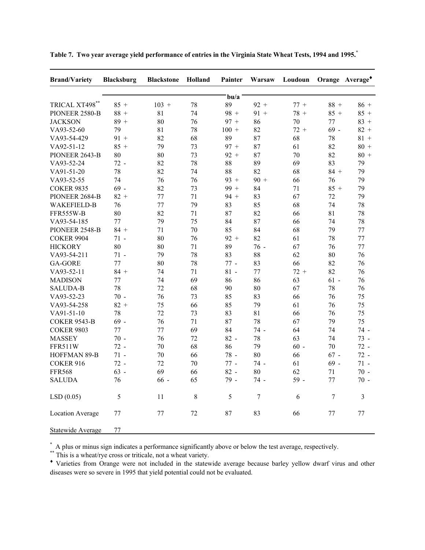| <b>Brand/Variety</b>    | <b>Blacksburg</b> | <b>Blackstone</b> | Holland | Painter | Warsaw | Loudoun |        | Orange Average <sup>+</sup> |
|-------------------------|-------------------|-------------------|---------|---------|--------|---------|--------|-----------------------------|
|                         |                   |                   |         | $b$ u/a |        |         |        |                             |
| TRICAL XT498**          | $85 +$            | $103 +$           | 78      | 89      | $92 +$ | $77 +$  | $88 +$ | $86 +$                      |
| PIONEER 2580-B          | $88 +$            | 81                | 74      | $98 +$  | $91 +$ | $78 +$  | $85 +$ | $85 +$                      |
| <b>JACKSON</b>          | $89 +$            | 80                | 76      | $97 +$  | 86     | 70      | 77     | $83 +$                      |
| VA93-52-60              | 79                | 81                | 78      | $100 +$ | 82     | $72 +$  | $69 -$ | $82 +$                      |
| VA93-54-429             | $91 +$            | 82                | 68      | 89      | 87     | 68      | 78     | $81 +$                      |
| VA92-51-12              | $85 +$            | 79                | 73      | $97 +$  | 87     | 61      | 82     | $80 +$                      |
| PIONEER 2643-B          | 80                | 80                | 73      | $92 +$  | 87     | 70      | 82     | $80 +$                      |
| VA93-52-24              | $72 -$            | 82                | 78      | 88      | 89     | 69      | 83     | 79                          |
| VA91-51-20              | 78                | 82                | 74      | 88      | 82     | 68      | $84 +$ | 79                          |
| VA93-52-55              | 74                | 76                | 76      | $93 +$  | $90 +$ | 66      | 76     | 79                          |
| <b>COKER 9835</b>       | $69 -$            | 82                | 73      | $99 +$  | 84     | 71      | $85 +$ | 79                          |
| PIONEER 2684-B          | $82 +$            | 77                | 71      | $94 +$  | 83     | 67      | 72     | 79                          |
| <b>WAKEFIELD-B</b>      | 76                | 77                | 79      | 83      | 85     | 68      | 74     | 78                          |
| FFR555W-B               | 80                | 82                | 71      | 87      | 82     | 66      | 81     | 78                          |
| VA93-54-185             | 77                | 79                | 75      | 84      | 87     | 66      | 74     | 78                          |
| PIONEER 2548-B          | $84 +$            | 71                | 70      | 85      | 84     | 68      | 79     | 77                          |
| <b>COKER 9904</b>       | $71 -$            | 80                | 76      | $92 +$  | 82     | 61      | 78     | 77                          |
| <b>HICKORY</b>          | 80                | 80                | 71      | 89      | $76 -$ | 67      | 76     | 77                          |
| VA93-54-211             | $71 -$            | 79                | 78      | 83      | 88     | 62      | 80     | 76                          |
| <b>GA-GORE</b>          | 77                | 80                | 78      | $77 -$  | 83     | 66      | 82     | 76                          |
| VA93-52-11              | $84 +$            | 74                | 71      | $81 -$  | 77     | $72 +$  | 82     | 76                          |
| <b>MADISON</b>          | 77                | 74                | 69      | 86      | 86     | 63      | $61 -$ | 76                          |
| <b>SALUDA-B</b>         | 78                | 72                | 68      | 90      | 80     | 67      | 78     | 76                          |
| VA93-52-23              | $70 -$            | 76                | 73      | 85      | 83     | 66      | 76     | 75                          |
| VA93-54-258             | $82 +$            | 75                | 66      | 85      | 79     | 61      | 76     | 75                          |
| VA91-51-10              | 78                | 72                | 73      | 83      | 81     | 66      | 76     | 75                          |
| <b>COKER 9543-B</b>     | $69 -$            | 76                | 71      | 87      | 78     | 67      | 79     | 75                          |
| <b>COKER 9803</b>       | 77                | 77                | 69      | 84      | 74 -   | 64      | 74     | 74 -                        |
| <b>MASSEY</b>           | $70 -$            | 76                | 72      | $82 -$  | 78     | 63      | 74     | 73 -                        |
| FFR511W                 | $72 -$            | 70                | 68      | 86      | 79     | $60 -$  | 70     | $72 -$                      |
| HOFFMAN 89-B            | $71 -$            | 70                | 66      | 78 -    | 80     | 66      | $67 -$ | $72 -$                      |
| COKER 916               | $72 -$            | 72                | 70      | $77 -$  | 74 -   | 61      | $69 -$ | $71 -$                      |
| <b>FFR568</b>           | $63 -$            | 69                | 66      | $82 -$  | 80     | 62      | 71     | $70 -$                      |
| <b>SALUDA</b>           | 76                | $66 -$            | 65      | 79 -    | 74 -   | 59 -    | 77     | $70 -$                      |
| LSD(0.05)               | 5                 | 11                | $\,8\,$ | 5       | $\tau$ | 6       | $\tau$ | 3                           |
| <b>Location Average</b> | 77                | 77                | 72      | 87      | 83     | 66      | 77     | 77                          |
| Statewide Average       | 77                |                   |         |         |        |         |        |                             |

"Table 7. Two year average yield performance of entries in the Virginia State Wheat Tests, 1994 and 1995

\*\* This is a wheat/rye cross or triticale, not a wheat variety.

♦ Varieties from Orange were not included in the statewide average because barley yellow dwarf virus and other diseases were so severe in 1995 that yield potential could not be evaluated.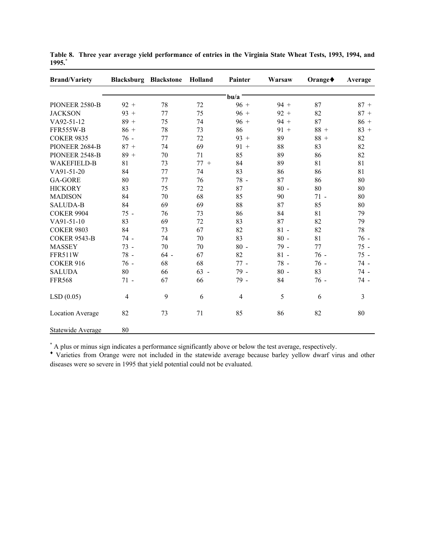| <b>Brand/Variety</b> |                | <b>Blacksburg Blackstone</b> | Holland | Painter          | Warsaw | Orange <sup>+</sup> | Average        |
|----------------------|----------------|------------------------------|---------|------------------|--------|---------------------|----------------|
|                      |                |                              |         | b <sub>u/a</sub> |        |                     |                |
| PIONEER 2580-B       | $92 +$         | 78                           | 72      | $96 +$           | $94 +$ | 87                  | $87 +$         |
| <b>JACKSON</b>       | $93 +$         | 77                           | 75      | $96 +$           | $92 +$ | 82                  | $87 +$         |
| VA92-51-12           | $89 +$         | 75                           | 74      | $96 +$           | $94 +$ | 87                  | $86 +$         |
| FFR555W-B            | $86 +$         | 78                           | 73      | 86               | $91 +$ | $88 +$              | $83 +$         |
| <b>COKER 9835</b>    | $76 -$         | 77                           | 72      | $93 +$           | 89     | $88 +$              | 82             |
| PIONEER 2684-B       | $87 +$         | 74                           | 69      | $91 +$           | 88     | 83                  | 82             |
| PIONEER 2548-B       | $89 +$         | 70                           | 71      | 85               | 89     | 86                  | 82             |
| <b>WAKEFIELD-B</b>   | 81             | 73                           | $77 +$  | 84               | 89     | 81                  | 81             |
| VA91-51-20           | 84             | 77                           | 74      | 83               | 86     | 86                  | 81             |
| <b>GA-GORE</b>       | 80             | 77                           | 76      | 78 -             | 87     | 86                  | 80             |
| <b>HICKORY</b>       | 83             | 75                           | 72      | 87               | $80 -$ | 80                  | 80             |
| <b>MADISON</b>       | 84             | 70                           | 68      | 85               | 90     | $71 -$              | 80             |
| <b>SALUDA-B</b>      | 84             | 69                           | 69      | 88               | 87     | 85                  | 80             |
| <b>COKER 9904</b>    | $75 -$         | 76                           | 73      | 86               | 84     | 81                  | 79             |
| VA91-51-10           | 83             | 69                           | 72      | 83               | 87     | 82                  | 79             |
| <b>COKER 9803</b>    | 84             | 73                           | 67      | 82               | $81 -$ | 82                  | 78             |
| <b>COKER 9543-B</b>  | 74 -           | 74                           | 70      | 83               | $80 -$ | 81                  | $76 -$         |
| <b>MASSEY</b>        | 73 -           | 70                           | 70      | $80 -$           | 79 -   | 77                  | $75 -$         |
| FFR511W              | 78 -           | $64 -$                       | 67      | 82               | $81 -$ | $76 -$              | $75 -$         |
| COKER 916            | $76 -$         | 68                           | 68      | $77 -$           | 78 -   | $76 -$              | 74 -           |
| <b>SALUDA</b>        | 80             | 66                           | $63 -$  | 79 -             | $80 -$ | 83                  | 74 -           |
| <b>FFR568</b>        | $71 -$         | 67                           | 66      | 79 -             | 84     | $76 -$              | 74 -           |
| LSD(0.05)            | $\overline{4}$ | 9                            | 6       | $\overline{4}$   | 5      | 6                   | $\overline{3}$ |
| Location Average     | 82             | 73                           | 71      | 85               | 86     | 82                  | 80             |
| Statewide Average    | 80             |                              |         |                  |        |                     |                |

Table 8. Three year average yield performance of entries in the Virginia State Wheat Tests, 1993, 1994, and **1995. \***

♦ Varieties from Orange were not included in the statewide average because barley yellow dwarf virus and other diseases were so severe in 1995 that yield potential could not be evaluated.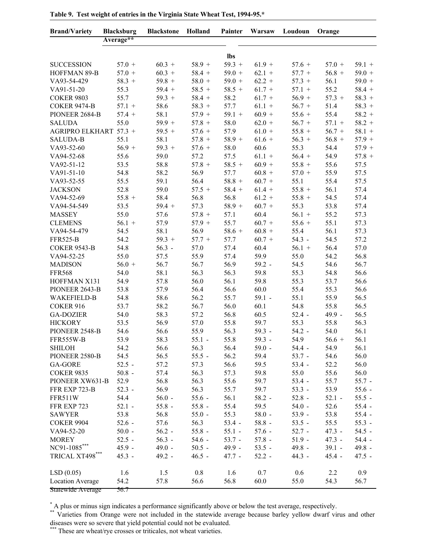| <b>Brand/Variety</b>        | <b>Blacksburg</b> | <b>Blackstone</b> | Holland      | Painter      | Warsaw   | Loudoun          | Orange   |          |
|-----------------------------|-------------------|-------------------|--------------|--------------|----------|------------------|----------|----------|
|                             | Average**         |                   |              |              |          |                  |          |          |
|                             |                   |                   |              | lbs          |          |                  |          |          |
| <b>SUCCESSION</b>           | $57.0 +$          | $60.3 +$          | $58.9 +$     | $59.3 +$     | $61.9 +$ | $57.6 +$         | $57.0 +$ | $59.1 +$ |
| HOFFMAN 89-B                | $57.0 +$          | $60.3 +$          | $58.4 +$     | $59.0 +$     | $62.1 +$ | $57.7 +$         | $56.8 +$ | $59.0 +$ |
| VA93-54-429                 | $58.3 +$          | $59.8 +$          | $58.0 +$     | $59.0 +$     | $62.2 +$ | $57.3 +$         | 56.1     | $59.0 +$ |
| VA91-51-20                  | 55.3              | $59.4 +$          | $58.5 +$     | $58.5 +$     | $61.7 +$ | $57.1 +$         | 55.2     | $58.4 +$ |
| <b>COKER 9803</b>           | 55.7              | $59.3 +$          | $58.4 +$     | 58.2         | $61.7 +$ | $56.9 +$         | $57.3 +$ | $58.3 +$ |
| <b>COKER 9474-B</b>         | $57.1 +$          | 58.6              | $58.3 +$     | 57.7         | $61.1 +$ | $56.7 +$         | 51.4     | $58.3 +$ |
| PIONEER 2684-B              | $57.4 +$          | 58.1              | $57.9 +$     | $59.1 +$     | $60.9 +$ | $55.6 +$         | 55.4     | $58.2 +$ |
| <b>SALUDA</b>               | 55.0              | $59.9 +$          | $57.8 +$     | 58.0         | $62.0 +$ | $56.7 +$         | $57.1 +$ | $58.2 +$ |
| AGRIPRO ELKHART 57.3 +      |                   | $59.5 +$          | $57.6 +$     | 57.9         | $61.0 +$ | $55.8 +$         | $56.7 +$ | $58.1 +$ |
| <b>SALUDA-B</b>             | 55.1              | 58.1              | $57.8 +$     | $58.9 +$     | $61.6 +$ | $56.3 +$         | $56.8 +$ | $57.9 +$ |
| VA93-52-60                  | $56.9 +$          | $59.3 +$          | $57.6 +$     | 58.0         | 60.6     | 55.3             | 54.4     | $57.9 +$ |
| VA94-52-68                  | 55.6              | 59.0              | 57.2         | 57.5         | $61.1 +$ | $56.4 +$         | 54.9     | $57.8 +$ |
| VA92-51-12                  | 53.5              | 58.8              | $57.8 +$     | $58.5 +$     | $60.9 +$ | $55.8 +$         | 55.6     | 57.5     |
| VA91-51-10                  | 54.8              | 58.2              | 56.9         | 57.7         | $60.8 +$ | $57.0 +$         | 55.9     | 57.5     |
| VA93-52-55                  | 55.5              | 59.1              | 56.4         | $58.8 +$     | $60.7 +$ | 55.1             | 55.4     | 57.5     |
| <b>JACKSON</b>              | 52.8              | 59.0              | $57.5 +$     | $58.4 +$     | $61.4 +$ | $55.8 +$         | 56.1     | 57.4     |
| VA94-52-69                  | $55.8 +$          | 58.4              | 56.8         | 56.8         | $61.2 +$ | $55.8 +$         | 54.5     | 57.4     |
| VA94-54-549                 | 53.5              | $59.4 +$          | 57.3         | $58.9 +$     | $60.7 +$ | 55.3             | 53.8     | 57.4     |
| <b>MASSEY</b>               | 55.0              | 57.6              | $57.8 +$     | 57.1         | 60.4     | $56.1 +$         | 55.2     | 57.3     |
| <b>CLEMENS</b>              | $56.1 +$          | 57.9              | $57.9 +$     | 55.7         | $60.7 +$ | $55.6 +$         | 55.1     | 57.3     |
| VA94-54-479                 | 54.5              | 58.1              | 56.9         | $58.6 +$     | $60.8 +$ | 55.4             | 56.1     | 57.3     |
| <b>FFR525-B</b>             | 54.2              | $59.3 +$          | $57.7 +$     | 57.7         | $60.7 +$ | $54.3 -$         | 54.5     | 57.2     |
| <b>COKER 9543-B</b>         | 54.8              | $56.3 -$          | 57.0         | 57.4         | 60.4     | $56.1 +$         | 56.4     | 57.0     |
| VA94-52-25                  | 55.0              | 57.5              | 55.9         | 57.4         | 59.9     | 55.0             | 54.2     | 56.8     |
| <b>MADISON</b>              | $56.0 +$          | 56.7              | 56.7         | 56.9         | $59.2 -$ | 54.5             | 54.6     | 56.7     |
| <b>FFR568</b>               | 54.0              | 58.1              | 56.3         | 56.3         | 59.8     | 55.3             | 54.8     | 56.6     |
| HOFFMAN X131                | 54.9              | 57.8              | 56.0         | 56.1         | 59.8     | 55.3             | 53.7     | 56.6     |
| PIONEER 2643-B              | 53.8              | 57.9              | 56.4         | 56.6         | 60.0     | 55.4             | 55.3     | 56.6     |
| <b>WAKEFIELD-B</b>          | 54.8              | 58.6              | 56.2         | 55.7         | $59.1 -$ | 55.1             | 55.9     | 56.5     |
| COKER 916                   | 53.7              |                   |              |              |          | 54.8             | 55.8     |          |
| <b>GA-DOZIER</b>            |                   | 58.2<br>58.3      | 56.7<br>57.2 | 56.0         | 60.1     |                  | $49.9 -$ | 56.5     |
|                             | 54.0              |                   |              | 56.8         | 60.5     | $52.4 -$<br>55.3 |          | 56.5     |
| <b>HICKORY</b>              | 53.5              | 56.9              | 57.0<br>55.9 | 55.8<br>56.3 | 59.7     |                  | 55.8     | 56.3     |
| PIONEER 2548-B              | 54.6              | 56.6              |              |              | $59.3 -$ | $54.2 -$         | 54.0     | 56.1     |
| FFR555W-B                   | 53.9              | 58.3              | $55.1 -$     | 55.8         | $59.3 -$ | 54.9             | $56.6 +$ | 56.1     |
| <b>SHILOH</b>               | 54.2              | 56.6              | 56.3         | 56.4         | $59.0 -$ | $54.4 -$         | 54.9     | 56.1     |
| PIONEER 2580-B              | 54.5              | 56.5              | $55.5 -$     | 56.2         | 59.4     | $53.7 -$         | 54.6     | 56.0     |
| GA-GORE                     | $52.5 -$          | 57.2              | 57.3         | 56.6         | 59.5     | $53.4 -$         | 52.2     | 56.0     |
| <b>COKER 9835</b>           | $50.8 -$          | 57.4              | 56.3         | 57.3         | 59.8     | 55.0             | 55.6     | 56.0     |
| PIONEER XW631-B             | 52.9              | 56.8              | 56.3         | 55.6         | 59.7     | $53.4 -$         | 55.7     | $55.7 -$ |
| FFR EXP 723-B               | $52.3 -$          | 56.9              | 56.3         | 55.7         | 59.7     | $53.3 -$         | 53.9     | $55.6 -$ |
| <b>FFR511W</b>              | 54.4              | $56.0 -$          | $55.6 -$     | 56.1         | $58.2 -$ | $52.8 -$         | $52.1 -$ | $55.5 -$ |
| FFR EXP 723                 | $52.1 -$          | $55.8 -$          | $55.8 -$     | 55.4         | 59.5     | $54.0 -$         | 52.6     | $55.4 -$ |
| <b>SAWYER</b>               | 53.8              | 56.8              | $55.0 -$     | 55.3         | $58.0 -$ | $53.9 -$         | 53.8     | $55.4 -$ |
| <b>COKER 9904</b>           | $52.6 -$          | 57.6              | 56.3         | $53.4 -$     | $58.8 -$ | $53.5 -$         | 55.5     | $55.3 -$ |
| VA94-52-20                  | $50.0 -$          | $56.2 -$          | $55.8 -$     | $55.1 -$     | $57.6 -$ | $52.7 -$         | $47.3 -$ | $54.5 -$ |
| <b>MOREY</b>                | $52.5 -$          | $56.3 -$          | $54.6 -$     | $53.7 -$     | $57.8 -$ | $51.9 -$         | $47.3 -$ | $54.4 -$ |
| $NC91-1085***$              | $45.9 -$          | $49.0 -$          | $50.5 -$     | $49.9 -$     | $53.5 -$ | $49.8 -$         | $39.1 -$ | $49.8 -$ |
| TRICAL $\text{XT498}^{***}$ | $45.3 -$          | $49.2 -$          | $46.5 -$     | $47.7 -$     | $52.2 -$ | $44.3 -$         | $45.4 -$ | $47.5 -$ |
| LSD(0.05)                   | 1.6               | 1.5               | 0.8          | 1.6          | 0.7      | 0.6              | 2.2      | 0.9      |
| <b>Location Average</b>     | 54.2              | 57.8              | 56.6         | 56.8         | 60.0     | 55.0             | 54.3     | 56.7     |
| Statewide Average           | 56.7              |                   |              |              |          |                  |          |          |

Table 9. Test weight of entries in the Virginia State Wheat Test, 1994-95.\*

\*A plus or minus sign indicates a performance significantly above or below the test average, respectively.<br>\*\* Varieties from Orange were not included in the statewide average because barley yellow dwarf virus and other<br>dis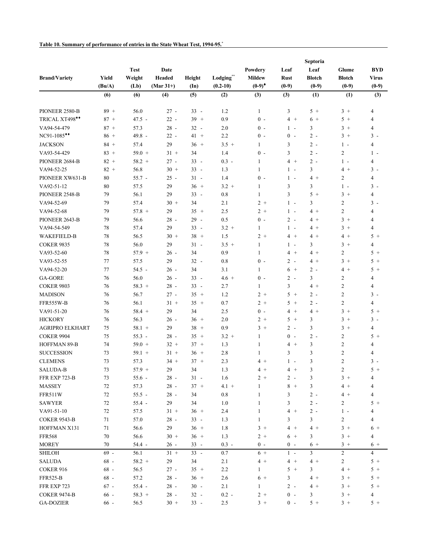|                        |        |                  |             |               |            |               |                       | Septoria       |                  |                |
|------------------------|--------|------------------|-------------|---------------|------------|---------------|-----------------------|----------------|------------------|----------------|
|                        |        | <b>Test</b>      | Date        |               |            | Powdery       | Leaf                  | Leaf           | Glume            | <b>BYD</b>     |
| <b>Brand/Variety</b>   | Yield  | Weight           | Headed      | Height        | Lodging**  | <b>Mildew</b> | <b>Rust</b>           | <b>Blotch</b>  | <b>Blotch</b>    | <b>Virus</b>   |
|                        | (Bu/A) | (Lb)             | $(Mar 31+)$ | $(\text{In})$ | $(0.2-10)$ | $(0-9)^*$     | $(0-9)$               | $(0-9)$        | $(0-9)$          | $(0-9)$        |
|                        | (6)    | (6)              | (4)         | (5)           | (2)        | (3)           | (3)                   | (1)            | (1)              | (3)            |
| PIONEER 2580-B         | $89 +$ | 56.0             | $27 -$      | $33 -$        | 1.2        | $\mathbf{1}$  | 3                     | $5+$           | $3+$             | $\overline{4}$ |
| TRICAL XT498**         | $87 +$ | $47.5 -$         | $22 -$      | $39 +$        | 0.9        | $0 -$         | $4 +$                 | $6+$           | $5+$             | $\overline{4}$ |
| VA94-54-479            | $87 +$ | 57.3             | $28 -$      | $32 -$        | 2.0        | $0 -$         | $1 -$                 | $\mathfrak{Z}$ | $3+$             | $\overline{4}$ |
| NC91-1085**            | $86 +$ | 49.8 -           | $22 -$      | $41 +$        | 2.2        | $0 -$         | $0 -$                 | $2 -$          | $3+$             | $3 -$          |
| <b>JACKSON</b>         | $84 +$ | 57.4             | 29          | $36 +$        | $3.5 +$    | 1             | 3                     | $2 -$          | $1 -$            | $\overline{4}$ |
| VA93-54-429            | $83 +$ | $59.0 +$         | $31 +$      | 34            | 1.4        | $0 -$         | 3                     | $2 -$          | $\overline{c}$   | $1 -$          |
| PIONEER 2684-B         | $82 +$ | $58.2 +$         | $27 -$      | $33 -$        | $0.3 -$    | 1             | $4 +$                 | $2 -$          | $1 -$            | $\overline{4}$ |
| VA94-52-25             | $82 +$ | 56.8             | $30 +$      | $33 -$        | 1.3        | $\mathbf{1}$  | $1 -$                 | 3              | $4+$             | $3 -$          |
| PIONEER XW631-B        | 80     | $55.7 -$         | $25 -$      | $31 -$        | 1.4        | $0 -$         | $1 -$                 | $4+$           | $\overline{c}$   | $\overline{4}$ |
| VA92-51-12             | 80     | 57.5             | 29          | $36 +$        | $3.2 +$    | $\mathbf{1}$  | 3                     | $\mathfrak{Z}$ | $1 -$            | $3 -$          |
| PIONEER 2548-B         | 79     | 56.1             | 29          | $33 -$        | 0.8        | $\mathbf{1}$  | 3                     | $5+$           | $3 +$            | $\overline{4}$ |
| VA94-52-69             | 79     | 57.4             | $30 +$      | 34            | 2.1        | $2 +$         | $1 -$                 | 3              | $\boldsymbol{2}$ | $3 -$          |
| VA94-52-68             | 79     | $57.8 +$         | 29          | $35 +$        | 2.5        | $2 +$         | $1 -$                 | $4 +$          | $\overline{c}$   | $\overline{4}$ |
| PIONEER 2643-B         | 79     | 56.6             | $28 -$      | $29 -$        | 0.5        | $0 -$         | $2 -$                 | $4 +$          | $3 +$            | $\overline{4}$ |
| VA94-54-549            | 78     | 57.4             | 29          | $33 -$        | $3.2 +$    | 1             | $1 -$                 | $4 +$          | $3+$             | $\overline{4}$ |
| <b>WAKEFIELD-B</b>     | 78     | 56.5             | $30 +$      | $38 +$        | 1.5        | $2 +$         | $4 +$                 | $4 +$          | $4+$             | $5+$           |
| <b>COKER 9835</b>      | 78     | 56.0             | 29          | $31 -$        | $3.5 +$    | $\mathbf{1}$  | $1 -$                 | $\mathfrak{Z}$ | $3 +$            | $\overline{4}$ |
| VA93-52-60             | 78     | $57.9 +$         | $26 -$      | 34            | 0.9        | $\mathbf{1}$  | $4 +$                 | $4 +$          | $\overline{c}$   | $5+$           |
| VA93-52-55             | 77     | 57.5             | 29          | $32 -$        | 0.8        | $0 -$         | $2 -$                 | $4 +$          | $3 +$            | $5+$           |
| VA94-52-20             | 77     | $54.5 -$         | $26 -$      | 34            | 3.1        | 1             | $6 +$                 | $2 -$          | $4 +$            | $5+$           |
| GA-GORE                | 76     | 56.0             | $26 -$      | $33 -$        | $4.6 +$    | $0 -$         | $2 -$                 | 3              | $\overline{c}$   | $\overline{4}$ |
| <b>COKER 9803</b>      | 76     | $58.3 +$         | $28 -$      | $33 -$        | 2.7        | 1             | 3                     | $4 +$          | $\overline{c}$   | $\overline{4}$ |
| <b>MADISON</b>         | 76     | 56.7             | $27 -$      | $35 +$        | 1.2        | $2 +$         | 5<br>$\,$ + $\,$      | $2 -$          | $\overline{c}$   | $3 -$          |
| FFR555W-B              | 76     | 56.1             | $31 +$      | $35 +$        | 0.7        | $2 +$         | 5<br>$+$              | $2 -$          | $\overline{2}$   | $\overline{4}$ |
| VA91-51-20             | 76     | $58.4 +$         | 29          | 34            | 2.5        | $0 -$         | $\overline{4}$<br>$+$ | $4 +$          | $3 +$            | $5+$           |
|                        |        |                  |             | $36 +$        |            |               | $5 +$                 |                |                  | $3 -$          |
| <b>HICKORY</b>         | 76     | 56.3<br>$58.1 +$ | $26 -$      |               | $2.0$      | $2 +$<br>$3+$ | $2 -$                 | $\mathfrak{Z}$ | $3+$             |                |
| <b>AGRIPRO ELKHART</b> | 75     |                  | 29          | $38 +$        | 0.9        |               |                       | 3              | $3+$             | $\overline{4}$ |
| <b>COKER 9904</b>      | 75     | $55.3 -$         | $28 -$      | $35 +$        | $3.2 +$    | 1             | $0 -$                 | $2 -$          | $\overline{c}$   | $5+$           |
| HOFFMAN 89-B           | 74     | $59.0 +$         | $32 +$      | $37 +$        | 1.3        | $\mathbf{1}$  | $4 +$                 | $\mathfrak{Z}$ | $\overline{c}$   | $\overline{4}$ |
| <b>SUCCESSION</b>      | 73     | $59.1 +$         | $31 +$      | $36 +$        | 2.8        | 1             | 3                     | 3              | $\overline{c}$   | $\overline{4}$ |
| <b>CLEMENS</b>         | 73     | 57.3             | $34 +$      | $37 +$        | 2.3        | $4+$          | $1 -$                 | 3              | $\overline{2}$   | $3 -$          |
| <b>SALUDA-B</b>        | 73     | $57.9 +$         | 29          | 34            | 1.3        | $4 +$         | $4+$                  | 3              | $\overline{c}$   | $5+$           |
| FFR EXP 723-B          | $73\,$ | $55.6 -$         | $28 -$      | $31 -$        | 1.6        | $2+$          | $2 -$                 | 3              | $3 +$            | 4              |
| MASSEY                 | $72\,$ | 57.3             | $28 -$      | $37 +$        | $4.1 +$    | 1             | $8 +$                 | $\mathfrak{Z}$ | $4 +$            | $\overline{4}$ |
| FFR511W                | $72\,$ | $55.5 -$         | $28 -$      | 34            | $0.8\,$    | $\mathbf{1}$  | 3                     | $2 -$          | $4 +$            | $\overline{4}$ |
| <b>SAWYER</b>          | $72\,$ | $55.4 -$         | 29          | 34            | $1.0\,$    | $\mathbf{1}$  | 3                     | $2 -$          | $\overline{c}$   | $5+$           |
| VA91-51-10             | $72\,$ | 57.5             | $31 +$      | $36 +$        | 2.4        | $\mathbf{1}$  | $4 +$                 | $2 -$          | $1 -$            | 4              |
| <b>COKER 9543-B</b>    | 71     | 57.0             | $28 -$      | $33 -$        | 1.3        | $\mathbf{1}$  | 3                     | $\mathfrak{Z}$ | $\overline{c}$   | $\overline{4}$ |
| HOFFMAN X131           | 71     | 56.6             | 29          | $36 +$        | 1.8        | $3 +$         | $4+$                  | $4+$           | $3 +$            | $6+$           |
| <b>FFR568</b>          | $70\,$ | 56.6             | $30 +$      | $36 +$        | 1.3        | $2+$          | $6+$                  | 3              | $3 +$            | 4              |
| <b>MOREY</b>           | $70\,$ | $54.4 -$         | $26 -$      | $33 -$        | $0.3 -$    | $0 -$         | $0 -$                 | $6+$           | $3 +$            | $6+$           |
| SHILOH                 | $69 -$ | 56.1             | $31 +$      | $33 -$        | $0.7\,$    | $6+$          | $1 -$                 | $\overline{3}$ | $\overline{c}$   | $\overline{4}$ |
| <b>SALUDA</b>          | $68 -$ | $58.2 +$         | 29          | 34            | 2.1        | $4 +$         | $4 +$                 | $4+$           | $\overline{c}$   | $5+$           |
| COKER 916              | $68 -$ | 56.5             | $27 -$      | $35 +$        | 2.2        | $\mathbf{1}$  | $5 +$                 | 3              | $4 +$            | $5+$           |
| <b>FFR525-B</b>        | $68 -$ | 57.2             | $28\,$ -    | $36 +$        | 2.6        | $6+$          | 3                     | $4+$           | $3 +$            | $5+$           |
| FFR EXP 723            | $67 -$ | $55.4 -$         | $28 -$      | $30 -$        | 2.1        | $\mathbf{1}$  | $2 -$                 | $4+$           | $3 +$            | $5+$           |
| <b>COKER 9474-B</b>    | $66 -$ | $58.3 +$         | $28 -$      | $32 -$        | $0.2 -$    | $2+$          | $0 -$                 | 3              | $3 +$            | 4              |
| <b>GA-DOZIER</b>       | $66 -$ | 56.5             | $30 +$      | $33 -$        | $2.5\,$    | $3 +$         | $0 -$                 | $5+$           | $3 +$            | $5+$           |

**Table 10. Summary of performance of entries in the State Wheat Test, 1994-95. \***